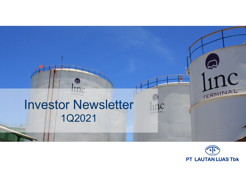## $\mathbf C$ TERMINAL Investor Newsletter TERMINAL 1Q2021

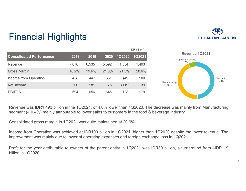

## Financial Highlights

|                                 |       |       |       | (IDR billion) |        |  |
|---------------------------------|-------|-------|-------|---------------|--------|--|
| <b>Consolidated Performance</b> | 2018  | 2019  | 2020  | 1Q2020        | 1Q2021 |  |
| Revenue                         | 7,076 | 6,535 | 5,592 | 1,554         | 1,493  |  |
| <b>Gross Margin</b>             | 18.2% | 19.6% | 21.0% | 21.3%         | 20.6%  |  |
| Income from Operation           | 438   | 447   | 331   | (49)          | 100    |  |
| Net Income                      | 200   | 181   | 75    | (119)         | 39     |  |
| <b>EBITDA</b>                   | 694   | 656   | 645   | 128           | 179    |  |



Revenue was IDR1,493 billion in the 1Q2021, or 4.0% lower than 1Q2020. The decrease was mainly from Manufacturing segment (-10.4%) mainly attributable to lower sales to customers in the food & beverage industry.

Consolidated gross margin in 1Q2021 was quite maintained at 20.6%.

Income from Operation was achieved at IDR100 billion in 1Q2021, higher than 1Q2020 despite the lower revenue. The improvement was mainly due to lower of operating expenses and foreign exchange loss in 1Q2021.

Profit for the year attributable to owners of the parent entity in 1Q2021 was IDR39 billion, <sup>a</sup> turnaround from –IDR119 billion in 1Q2020.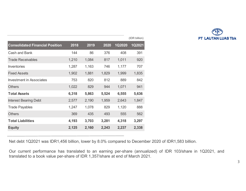

|                                        |       |       |       |               | (IDR billion) |
|----------------------------------------|-------|-------|-------|---------------|---------------|
| <b>Consolidated Financial Position</b> | 2018  | 2019  | 2020  | <b>1Q2020</b> | 1Q2021        |
| <b>Cash and Bank</b>                   | 144   | 86    | 376   | 408           | 391           |
| <b>Trade Receivables</b>               | 1,210 | 1,084 | 817   | 1,011         | 920           |
| <b>Inventories</b>                     | 1,287 | 1,163 | 746   | 1,177         | 707           |
| <b>Fixed Assets</b>                    | 1,902 | 1,881 | 1,829 | 1,999         | 1,835         |
| <b>Investment in Associates</b>        | 753   | 820   | 812   | 889           | 842           |
| <b>Others</b>                          | 1,022 | 829   | 944   | 1,071         | 941           |
| <b>Total Assets</b>                    | 6,318 | 5,863 | 5,524 | 6,555         | 5,636         |
| <b>Interest Bearing Debt</b>           | 2,577 | 2,190 | 1,959 | 2,643         | 1,847         |
| <b>Trade Payables</b>                  | 1,247 | 1,078 | 829   | 1,120         | 888           |
| <b>Others</b>                          | 369   | 435   | 493   | 555           | 562           |
| <b>Total Liabilities</b>               | 4,193 | 3,703 | 3,281 | 4,318         | 3,297         |
| <b>Equity</b>                          | 2,125 | 2,160 | 2,243 | 2,237         | 2,338         |
|                                        |       |       |       |               |               |

Net debt 1Q2021 was IDR1,456 billion, lower by 8.0% compared to December 2020 of IDR1,583 billion.

Our current performance has translated to an earning per-share (annualized) of IDR 103/share in 1Q2021, and translated to <sup>a</sup> book value per-share of IDR 1,357/share at end of March 2021.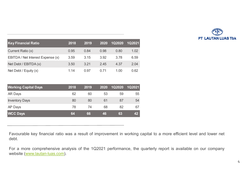

| <b>Key Financial Ratio</b>        | 2018 | 2019 | 2020 | <b>1Q2020</b> | 1Q2021 |
|-----------------------------------|------|------|------|---------------|--------|
| Current Ratio (x)                 | 0.95 | 0.84 | 0.98 | 0.80          | 1.02   |
| EBITDA / Net Interest Expense (x) | 3.59 | 3.15 | 3.92 | 3.78          | 6.59   |
| Net Debt / $EBITDA(x)$            | 3.50 | 3.21 | 2.45 | 4.37          | 2.04   |
| Net Debt / Equity $(x)$           | 1.14 | 0.97 | 0.71 | 1.00          | 0.62   |

| <b>Working Capital Days</b> | 2018 | 2019 | 2020 | <b>1Q2020</b> | <b>1Q2021</b> |
|-----------------------------|------|------|------|---------------|---------------|
| <b>AR Days</b>              | 62   | 60   | 53   | 59            | 55            |
| <b>Inventory Days</b>       | 80   | 80   | 61   | 87            | 54            |
| AP Days                     | 78   | 74   | 68   | 82            | 67            |
| <b>WCC Days</b>             | 64   | 66   | 46   | 63            | 42            |

Favourable key financial ratio was <sup>a</sup> result of improvement in working capital to <sup>a</sup> more efficient level and lower net debt.

For <sup>a</sup> more comprehensive analysis of the 1Q2021 performance, the quarterly report is available on our company website (www.lautan-luas.com).